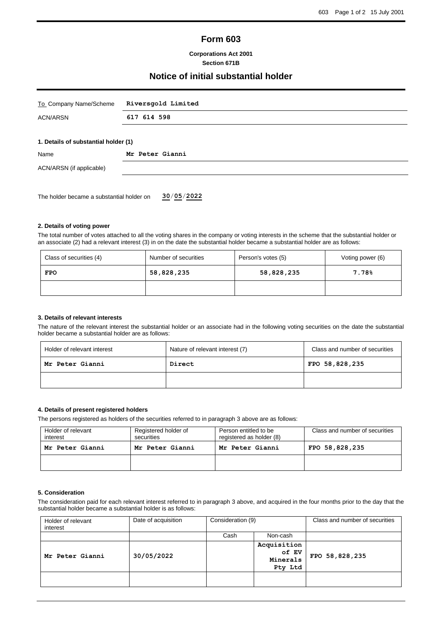# **Form 603**

### **Corporations Act 2001 Section 671B**

# **Notice of initial substantial holder**

| To Company Name/Scheme                    | Riversgold Limited |  |  |
|-------------------------------------------|--------------------|--|--|
| <b>ACN/ARSN</b>                           | 617 614 598        |  |  |
| 1. Details of substantial holder (1)      |                    |  |  |
| Name                                      | Mr Peter Gianni    |  |  |
| ACN/ARSN (if applicable)                  |                    |  |  |
|                                           |                    |  |  |
| The holder became a substantial holder on | 30/05/2022         |  |  |

### **2. Details of voting power**

The total number of votes attached to all the voting shares in the company or voting interests in the scheme that the substantial holder or an associate (2) had a relevant interest (3) in on the date the substantial holder became a substantial holder are as follows:

| Class of securities (4) | Number of securities | Person's votes (5) | Voting power (6) |
|-------------------------|----------------------|--------------------|------------------|
| <b>FPO</b>              | 58,828,235           | 58,828,235         | 7.78%            |
|                         |                      |                    |                  |

#### **3. Details of relevant interests**

The nature of the relevant interest the substantial holder or an associate had in the following voting securities on the date the substantial holder became a substantial holder are as follows:

| Holder of relevant interest | Nature of relevant interest (7) | Class and number of securities |
|-----------------------------|---------------------------------|--------------------------------|
| Mr Peter Gianni             | Direct                          | FPO 58,828,235                 |
|                             |                                 |                                |

### **4. Details of present registered holders**

The persons registered as holders of the securities referred to in paragraph 3 above are as follows:

| Holder of relevant<br>interest | Registered holder of<br>securities | Person entitled to be<br>registered as holder (8) | Class and number of securities |
|--------------------------------|------------------------------------|---------------------------------------------------|--------------------------------|
| Mr Peter Gianni                | Mr Peter Gianni                    | Mr Peter Gianni                                   | FPO 58,828,235                 |
|                                |                                    |                                                   |                                |

### **5. Consideration**

The consideration paid for each relevant interest referred to in paragraph 3 above, and acquired in the four months prior to the day that the substantial holder became a substantial holder is as follows:

| Holder of relevant<br>interest | Date of acquisition | Consideration (9) |                                             | Class and number of securities |
|--------------------------------|---------------------|-------------------|---------------------------------------------|--------------------------------|
|                                |                     | Cash              | Non-cash                                    |                                |
| Mr Peter Gianni                | 30/05/2022          |                   | Acquisition<br>of EV<br>Minerals<br>Pty Ltd | FPO 58,828,235                 |
|                                |                     |                   |                                             |                                |